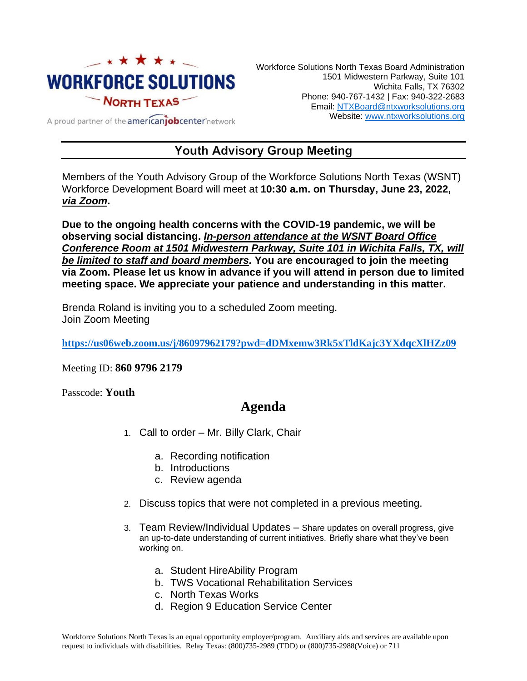

Workforce Solutions North Texas Board Administration 1501 Midwestern Parkway, Suite 101 Wichita Falls, TX 76302 Phone: 940-767-1432 | Fax: 940-322-2683 Email: [NTXBoard@ntxworksolutions.org](mailto:NTXBoard@ntxworksolutions.org) Website: [www.ntxworksolutions.org](http://www.ntxworksolutions.org/)

A proud partner of the **americanjobcenter** network

## **Youth Advisory Group Meeting**

Members of the Youth Advisory Group of the Workforce Solutions North Texas (WSNT) Workforce Development Board will meet at **10:30 a.m. on Thursday, June 23, 2022,** *via Zoom***.**

**Due to the ongoing health concerns with the COVID-19 pandemic, we will be observing social distancing.** *In-person attendance at the WSNT Board Office Conference Room at 1501 Midwestern Parkway, Suite 101 in Wichita Falls, TX, will be limited to staff and board members.* **You are encouraged to join the meeting via Zoom. Please let us know in advance if you will attend in person due to limited meeting space. We appreciate your patience and understanding in this matter.**

Brenda Roland is inviting you to a scheduled Zoom meeting. Join Zoom Meeting

**<https://us06web.zoom.us/j/86097962179?pwd=dDMxemw3Rk5xTldKajc3YXdqcXlHZz09>**

Meeting ID: **860 9796 2179**

Passcode: **Youth**

## **Agenda**

- 1. Call to order Mr. Billy Clark, Chair
	- a. Recording notification
	- b. Introductions
	- c. Review agenda
- 2. Discuss topics that were not completed in a previous meeting.
- 3. Team Review/Individual Updates Share updates on overall progress, give an up-to-date understanding of current initiatives. Briefly share what they've been working on.
	- a. Student HireAbility Program
	- b. TWS Vocational Rehabilitation Services
	- c. North Texas Works
	- d. Region 9 Education Service Center